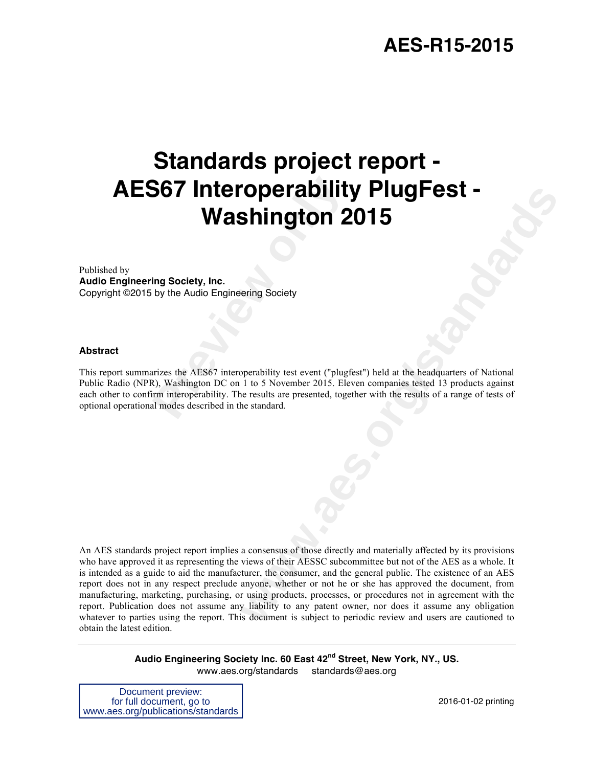# **AES-R15-2015**

# **Provided Washington 2<br>
ing Society, Inc.<br>
by the Audio Engineering Society<br>
Figures the AES67 interoperability test event ("plugt<br>
Rivers the AES67 interoperability test event ("plugt<br>
Rivers interoperability. The results Standards project report - AES67 Interoperability PlugFest - Washington 2015**

Published by **Audio Engineering Society, Inc.** Copyright ©2015 by the Audio Engineering Society

#### **Abstract**

This report summarizes the AES67 interoperability test event ("plugfest") held at the headquarters of National Public Radio (NPR), Washington DC on 1 to 5 November 2015. Eleven companies tested 13 products against each other to confirm interoperability. The results are presented, together with the results of a range of tests of optional operational modes described in the standard.

**COPETADITITY PIUGFEST -**<br> **Shington 2015**<br> **were start of the standard are also to the standard standard in the SNovember 2015**. Eleven companies tested 13 products against<br>
re results are presented, together with the res An AES standards project report implies a consensus of those directly and materially affected by its provisions who have approved it as representing the views of their AESSC subcommittee but not of the AES as a whole. It is intended as a guide to aid the manufacturer, the consumer, and the general public. The existence of an AES report does not in any respect preclude anyone, whether or not he or she has approved the document, from manufacturing, marketing, purchasing, or using products, processes, or procedures not in agreement with the report. Publication does not assume any liability to any patent owner, nor does it assume any obligation whatever to parties using the report. This document is subject to periodic review and users are cautioned to obtain the latest edition.

> **Audio Engineering Society Inc. 60 East 42nd Street, New York, NY., US.** www.aes.org/standards standards@aes.org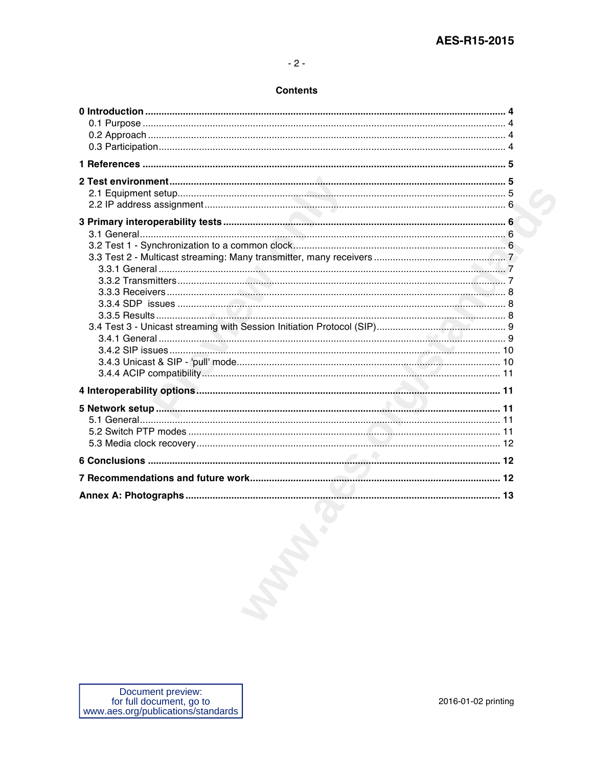### **Contents**

| <b>March</b> |  |
|--------------|--|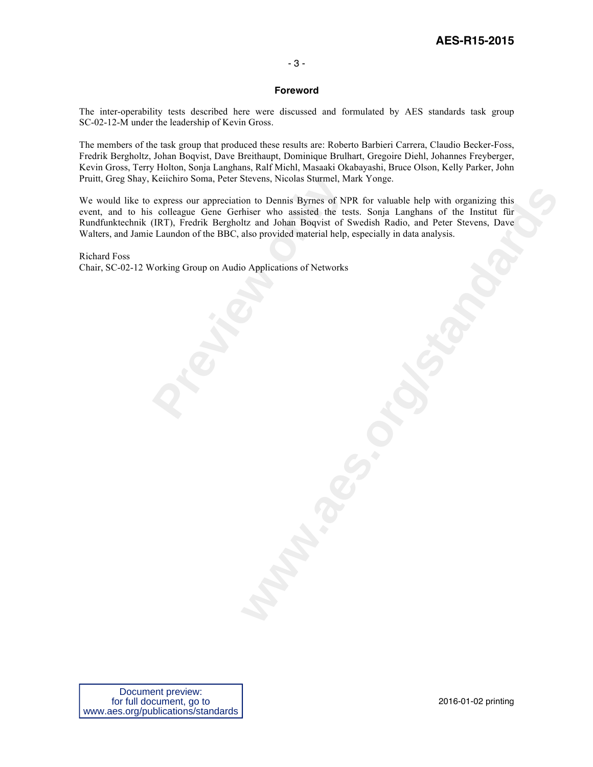## **AES-R15-2015**

#### - 3 -

#### **Foreword**

The inter-operability tests described here were discussed and formulated by AES standards task group SC-02-12-M under the leadership of Kevin Gross.

The members of the task group that produced these results are: Roberto Barbieri Carrera, Claudio Becker-Foss, Fredrik Bergholtz, Johan Boqvist, Dave Breithaupt, Dominique Brulhart, Gregoire Diehl, Johannes Freyberger, Kevin Gross, Terry Holton, Sonja Langhans, Ralf Michl, Masaaki Okabayashi, Bruce Olson, Kelly Parker, John Pruitt, Greg Shay, Keiichiro Soma, Peter Stevens, Nicolas Sturmel, Mark Yonge.

Keinchiro Soma, Peter Stevens, Nicolas Sturmel, M<br>express our appreciation to Dennis Byrnes of NF<br>colleague Gene Gerhiser who assisted the test<br>(IRT), Fredrik Bergholtz and Johan Boqvist of S<br>Laundon of the BBC, also provi For the Demnis Byrnes of NPR for valuable help with organizing this<br>his er who assisted the tests. Sonja Langhans of the Institut fur-<br>Itz and Johan Bequist of Swedish Radio, and Peter Sivens, Dave<br>also provided material h We would like to express our appreciation to Dennis Byrnes of NPR for valuable help with organizing this event, and to his colleague Gene Gerhiser who assisted the tests. Sonja Langhans of the Institut für Rundfunktechnik (IRT), Fredrik Bergholtz and Johan Boqvist of Swedish Radio, and Peter Stevens, Dave Walters, and Jamie Laundon of the BBC, also provided material help, especially in data analysis.

Richard Foss Chair, SC-02-12 Working Group on Audio Applications of Networks